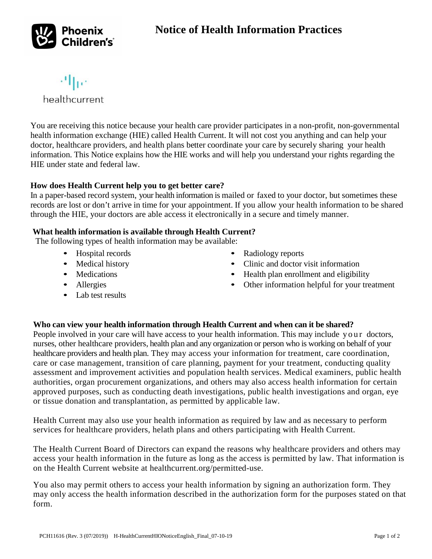# **Notice of Health Information Practices**



机位

healthcurrent

You are receiving this notice because your health care provider participates in a non-profit, non-governmental health information exchange (HIE) called Health Current. It will not cost you anything and can help your doctor, healthcare providers, and health plans better coordinate your care by securely sharing your health information. This Notice explains how the HIE works and will help you understand your rights regarding the HIE under state and federal law.

### **How does Health Current help you to get better care?**

In a paper-based record system, your health information is mailed or faxed to your doctor, but sometimes these records are lost or don't arrive in time for your appointment. If you allow your health information to be shared through the HIE, your doctors are able access it electronically in a secure and timely manner.

### **What health information is available through Health Current?**

The following types of health information may be available:

- Hospital records
- Medical history
- Medications
- Allergies
- Lab test results
- Radiology reports
- Clinic and doctor visit information
- Health plan enrollment and eligibility
- Other information helpful for your treatment

### **Who can view your health information through Health Current and when can it be shared?**

People involved in your care will have access to your health information. This may include your doctors, nurses, other healthcare providers, health plan and any organization or person who is working on behalf of your healthcare providers and health plan. They may access your information for treatment, care coordination, care or case management, transition of care planning, payment for your treatment, conducting quality assessment and improvement activities and population health services. Medical examiners, public health authorities, organ procurement organizations, and others may also access health information for certain approved purposes, such as conducting death investigations, public health investigations and organ, eye or tissue donation and transplantation, as permitted by applicable law.

Health Current may also use your health information as required by law and as necessary to perform services for healthcare providers, helath plans and others participating with Health Current.

The Health Current Board of Directors can expand the reasons why healthcare providers and others may access your health information in the future as long as the access is permitted by law. That information is on the Health Current website at healthcurrent.org/permitted-use.

You also may permit others to access your health information by signing an authorization form. They may only access the health information described in the authorization form for the purposes stated on that form.